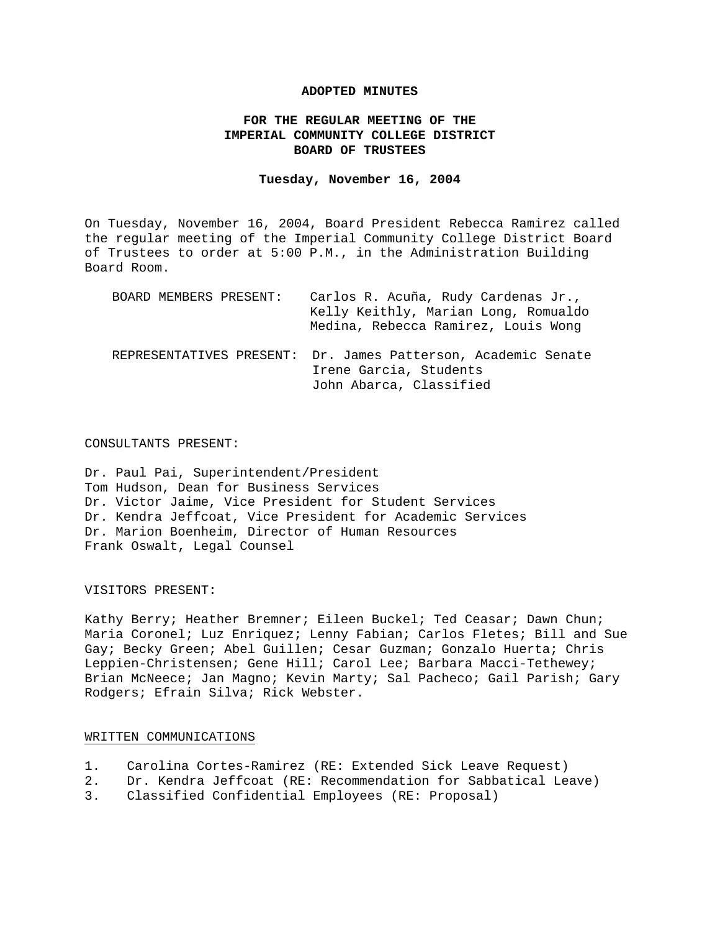## **ADOPTED MINUTES**

# **FOR THE REGULAR MEETING OF THE IMPERIAL COMMUNITY COLLEGE DISTRICT BOARD OF TRUSTEES**

#### **Tuesday, November 16, 2004**

On Tuesday, November 16, 2004, Board President Rebecca Ramirez called the regular meeting of the Imperial Community College District Board of Trustees to order at 5:00 P.M., in the Administration Building Board Room.

| BOARD MEMBERS PRESENT: | Carlos R. Acuña, Rudy Cardenas Jr.,<br>Kelly Keithly, Marian Long, Romualdo<br>Medina, Rebecca Ramirez, Louis Wong |
|------------------------|--------------------------------------------------------------------------------------------------------------------|
|                        | REPRESENTATIVES PRESENT: Dr. James Patterson, Academic Senate<br>Irene Garcia, Students<br>John Abarca, Classified |

#### CONSULTANTS PRESENT:

Dr. Paul Pai, Superintendent/President Tom Hudson, Dean for Business Services Dr. Victor Jaime, Vice President for Student Services Dr. Kendra Jeffcoat, Vice President for Academic Services Dr. Marion Boenheim, Director of Human Resources Frank Oswalt, Legal Counsel

## VISITORS PRESENT:

Kathy Berry; Heather Bremner; Eileen Buckel; Ted Ceasar; Dawn Chun; Maria Coronel; Luz Enriquez; Lenny Fabian; Carlos Fletes; Bill and Sue Gay; Becky Green; Abel Guillen; Cesar Guzman; Gonzalo Huerta; Chris Leppien-Christensen; Gene Hill; Carol Lee; Barbara Macci-Tethewey; Brian McNeece; Jan Magno; Kevin Marty; Sal Pacheco; Gail Parish; Gary Rodgers; Efrain Silva; Rick Webster.

## WRITTEN COMMUNICATIONS

- 1. Carolina Cortes-Ramirez (RE: Extended Sick Leave Request)
- 2. Dr. Kendra Jeffcoat (RE: Recommendation for Sabbatical Leave)
- 3. Classified Confidential Employees (RE: Proposal)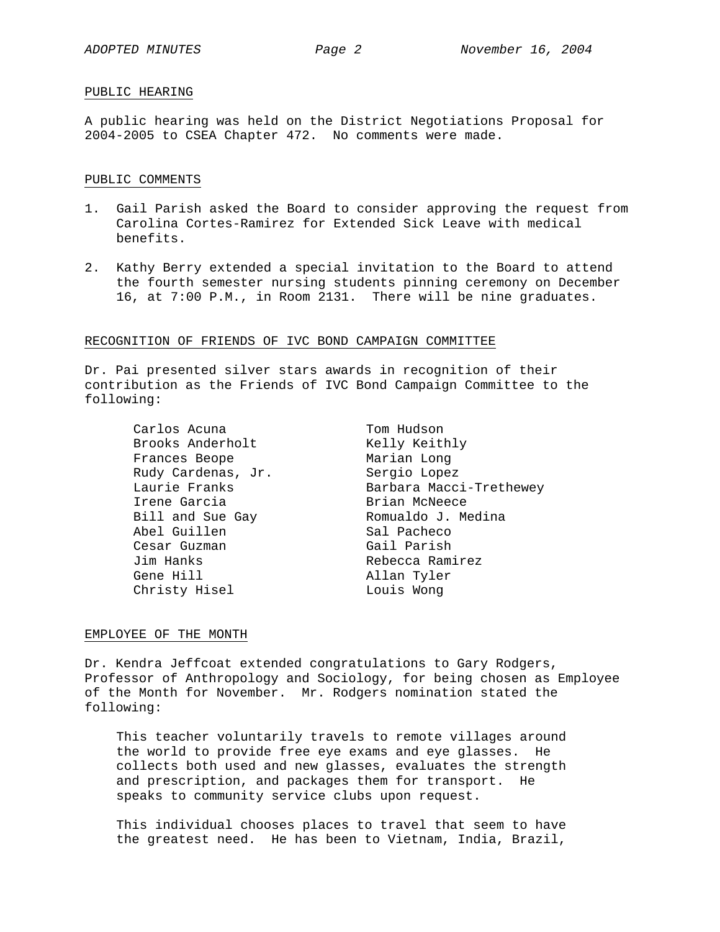## PUBLIC HEARING

A public hearing was held on the District Negotiations Proposal for 2004-2005 to CSEA Chapter 472. No comments were made.

#### PUBLIC COMMENTS

- 1. Gail Parish asked the Board to consider approving the request from Carolina Cortes-Ramirez for Extended Sick Leave with medical benefits.
- 2. Kathy Berry extended a special invitation to the Board to attend the fourth semester nursing students pinning ceremony on December 16, at 7:00 P.M., in Room 2131. There will be nine graduates.

#### RECOGNITION OF FRIENDS OF IVC BOND CAMPAIGN COMMITTEE

Dr. Pai presented silver stars awards in recognition of their contribution as the Friends of IVC Bond Campaign Committee to the following:

Carlos Acuna Brooks Anderholt Frances Beope Rudy Cardenas, Jr. Laurie Franks Irene Garcia Bill and Sue Gay Abel Guillen Cesar Guzman Jim Hanks Gene Hill

Christy Hisel Louis Wong Tom Hudson Kelly Keithly Marian Long Sergio Lopez Barbara Macci-Trethewey Brian McNeece Romualdo J. Medina Sal Pacheco Gail Parish Rebecca Ramirez Allan Tyler

## EMPLOYEE OF THE MONTH

Dr. Kendra Jeffcoat extended congratulations to Gary Rodgers, Professor of Anthropology and Sociology, for being chosen as Employee of the Month for November. Mr. Rodgers nomination stated the following:

This teacher voluntarily travels to remote villages around the world to provide free eye exams and eye glasses. He collects both used and new glasses, evaluates the strength and prescription, and packages them for transport. He speaks to community service clubs upon request.

This individual chooses places to travel that seem to have the greatest need. He has been to Vietnam, India, Brazil,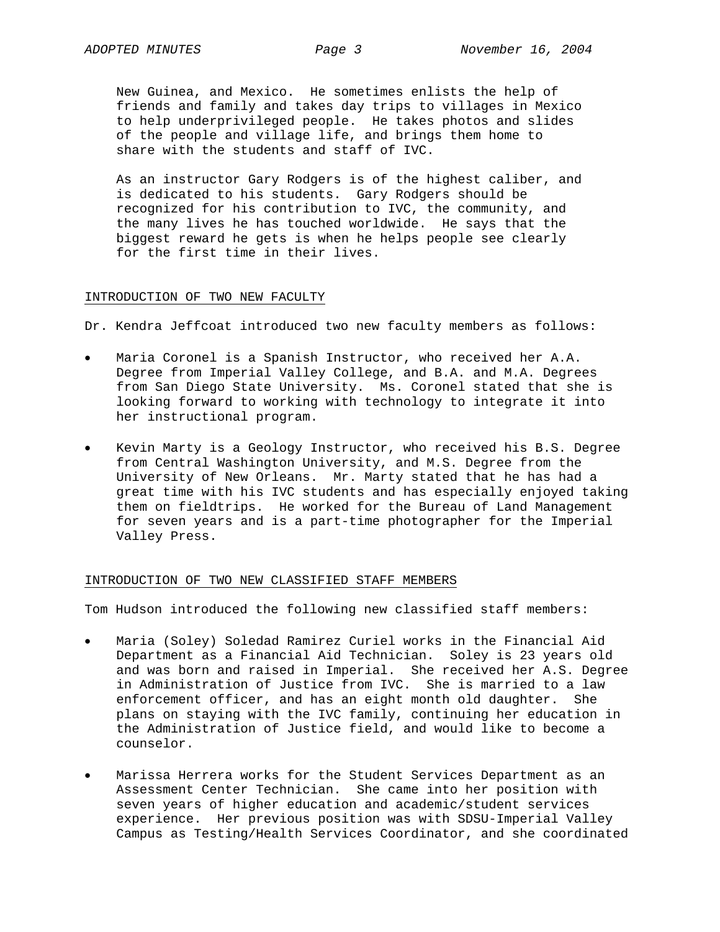New Guinea, and Mexico. He sometimes enlists the help of friends and family and takes day trips to villages in Mexico to help underprivileged people. He takes photos and slides of the people and village life, and brings them home to share with the students and staff of IVC.

As an instructor Gary Rodgers is of the highest caliber, and is dedicated to his students. Gary Rodgers should be recognized for his contribution to IVC, the community, and the many lives he has touched worldwide. He says that the biggest reward he gets is when he helps people see clearly for the first time in their lives.

## INTRODUCTION OF TWO NEW FACULTY

Dr. Kendra Jeffcoat introduced two new faculty members as follows:

- Maria Coronel is a Spanish Instructor, who received her A.A. Degree from Imperial Valley College, and B.A. and M.A. Degrees from San Diego State University. Ms. Coronel stated that she is looking forward to working with technology to integrate it into her instructional program.
- Kevin Marty is a Geology Instructor, who received his B.S. Degree from Central Washington University, and M.S. Degree from the University of New Orleans. Mr. Marty stated that he has had a great time with his IVC students and has especially enjoyed taking them on fieldtrips. He worked for the Bureau of Land Management for seven years and is a part-time photographer for the Imperial Valley Press.

#### INTRODUCTION OF TWO NEW CLASSIFIED STAFF MEMBERS

Tom Hudson introduced the following new classified staff members:

- Maria (Soley) Soledad Ramirez Curiel works in the Financial Aid Department as a Financial Aid Technician. Soley is 23 years old and was born and raised in Imperial. She received her A.S. Degree in Administration of Justice from IVC. She is married to a law enforcement officer, and has an eight month old daughter. She plans on staying with the IVC family, continuing her education in the Administration of Justice field, and would like to become a counselor.
- Marissa Herrera works for the Student Services Department as an Assessment Center Technician. She came into her position with seven years of higher education and academic/student services experience. Her previous position was with SDSU-Imperial Valley Campus as Testing/Health Services Coordinator, and she coordinated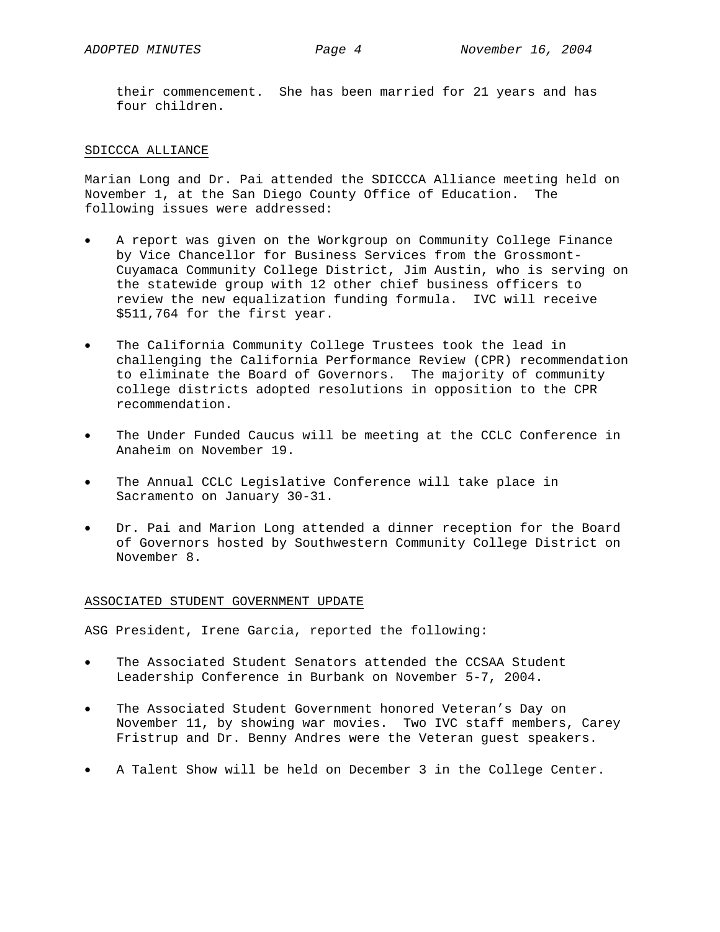their commencement. She has been married for 21 years and has four children.

## SDICCCA ALLIANCE

Marian Long and Dr. Pai attended the SDICCCA Alliance meeting held on November 1, at the San Diego County Office of Education. The following issues were addressed:

- A report was given on the Workgroup on Community College Finance by Vice Chancellor for Business Services from the Grossmont-Cuyamaca Community College District, Jim Austin, who is serving on the statewide group with 12 other chief business officers to review the new equalization funding formula. IVC will receive \$511,764 for the first year.
- The California Community College Trustees took the lead in challenging the California Performance Review (CPR) recommendation to eliminate the Board of Governors. The majority of community college districts adopted resolutions in opposition to the CPR recommendation.
- The Under Funded Caucus will be meeting at the CCLC Conference in Anaheim on November 19.
- The Annual CCLC Legislative Conference will take place in Sacramento on January 30-31.
- Dr. Pai and Marion Long attended a dinner reception for the Board of Governors hosted by Southwestern Community College District on November 8.

## ASSOCIATED STUDENT GOVERNMENT UPDATE

ASG President, Irene Garcia, reported the following:

- The Associated Student Senators attended the CCSAA Student Leadership Conference in Burbank on November 5-7, 2004.
- The Associated Student Government honored Veteran's Day on November 11, by showing war movies. Two IVC staff members, Carey Fristrup and Dr. Benny Andres were the Veteran guest speakers.
- A Talent Show will be held on December 3 in the College Center.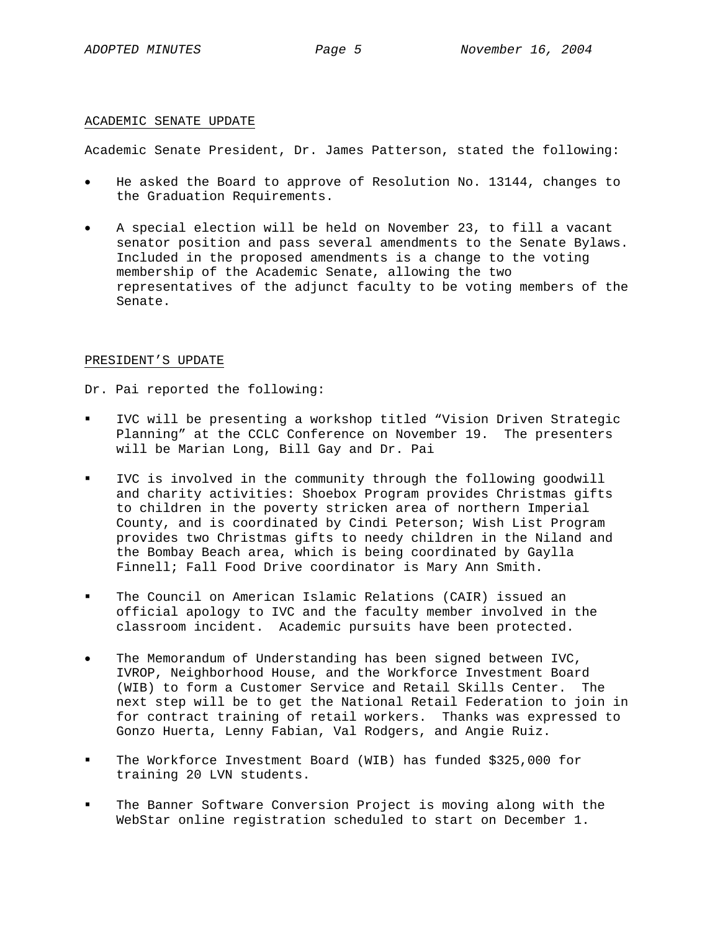## ACADEMIC SENATE UPDATE

Academic Senate President, Dr. James Patterson, stated the following:

- He asked the Board to approve of Resolution No. 13144, changes to the Graduation Requirements.
- A special election will be held on November 23, to fill a vacant senator position and pass several amendments to the Senate Bylaws. Included in the proposed amendments is a change to the voting membership of the Academic Senate, allowing the two representatives of the adjunct faculty to be voting members of the Senate.

# PRESIDENT'S UPDATE

Dr. Pai reported the following:

- IVC will be presenting a workshop titled "Vision Driven Strategic Planning" at the CCLC Conference on November 19. The presenters will be Marian Long, Bill Gay and Dr. Pai
- IVC is involved in the community through the following goodwill and charity activities: Shoebox Program provides Christmas gifts to children in the poverty stricken area of northern Imperial County, and is coordinated by Cindi Peterson; Wish List Program provides two Christmas gifts to needy children in the Niland and the Bombay Beach area, which is being coordinated by Gaylla Finnell; Fall Food Drive coordinator is Mary Ann Smith.
- The Council on American Islamic Relations (CAIR) issued an official apology to IVC and the faculty member involved in the classroom incident. Academic pursuits have been protected.
- The Memorandum of Understanding has been signed between IVC, IVROP, Neighborhood House, and the Workforce Investment Board (WIB) to form a Customer Service and Retail Skills Center. The next step will be to get the National Retail Federation to join in for contract training of retail workers. Thanks was expressed to Gonzo Huerta, Lenny Fabian, Val Rodgers, and Angie Ruiz.
- The Workforce Investment Board (WIB) has funded \$325,000 for training 20 LVN students.
- The Banner Software Conversion Project is moving along with the WebStar online registration scheduled to start on December 1.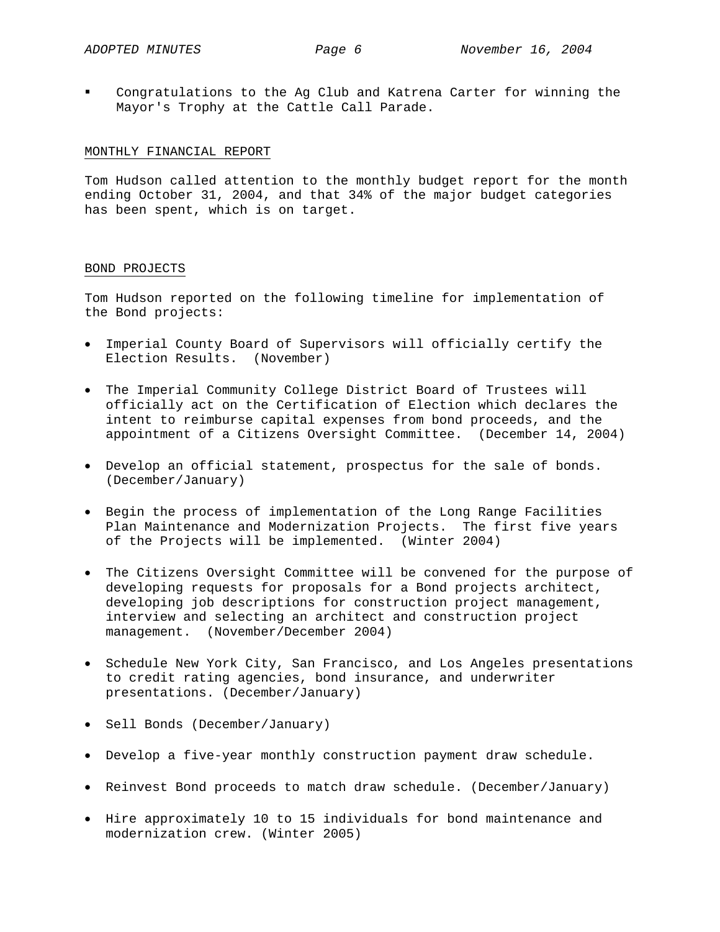Congratulations to the Ag Club and Katrena Carter for winning the Mayor's Trophy at the Cattle Call Parade.

## MONTHLY FINANCIAL REPORT

Tom Hudson called attention to the monthly budget report for the month ending October 31, 2004, and that 34% of the major budget categories has been spent, which is on target.

## BOND PROJECTS

Tom Hudson reported on the following timeline for implementation of the Bond projects:

- Imperial County Board of Supervisors will officially certify the Election Results. (November)
- The Imperial Community College District Board of Trustees will officially act on the Certification of Election which declares the intent to reimburse capital expenses from bond proceeds, and the appointment of a Citizens Oversight Committee. (December 14, 2004)
- Develop an official statement, prospectus for the sale of bonds. (December/January)
- Begin the process of implementation of the Long Range Facilities Plan Maintenance and Modernization Projects. The first five years of the Projects will be implemented. (Winter 2004)
- The Citizens Oversight Committee will be convened for the purpose of developing requests for proposals for a Bond projects architect, developing job descriptions for construction project management, interview and selecting an architect and construction project management. (November/December 2004)
- Schedule New York City, San Francisco, and Los Angeles presentations to credit rating agencies, bond insurance, and underwriter presentations. (December/January)
- Sell Bonds (December/January)
- Develop a five-year monthly construction payment draw schedule.
- Reinvest Bond proceeds to match draw schedule. (December/January)
- Hire approximately 10 to 15 individuals for bond maintenance and modernization crew. (Winter 2005)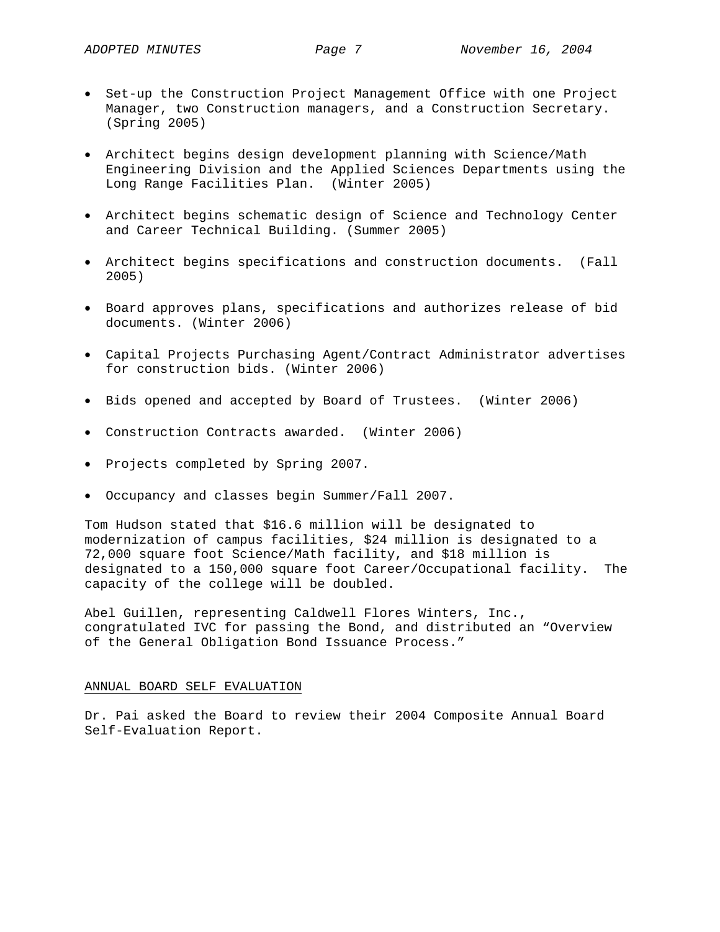- Set-up the Construction Project Management Office with one Project Manager, two Construction managers, and a Construction Secretary. (Spring 2005)
- Architect begins design development planning with Science/Math Engineering Division and the Applied Sciences Departments using the Long Range Facilities Plan. (Winter 2005)
- Architect begins schematic design of Science and Technology Center and Career Technical Building. (Summer 2005)
- Architect begins specifications and construction documents. (Fall 2005)
- Board approves plans, specifications and authorizes release of bid documents. (Winter 2006)
- Capital Projects Purchasing Agent/Contract Administrator advertises for construction bids. (Winter 2006)
- Bids opened and accepted by Board of Trustees. (Winter 2006)
- Construction Contracts awarded. (Winter 2006)
- Projects completed by Spring 2007.
- Occupancy and classes begin Summer/Fall 2007.

Tom Hudson stated that \$16.6 million will be designated to modernization of campus facilities, \$24 million is designated to a 72,000 square foot Science/Math facility, and \$18 million is designated to a 150,000 square foot Career/Occupational facility. The capacity of the college will be doubled.

Abel Guillen, representing Caldwell Flores Winters, Inc., congratulated IVC for passing the Bond, and distributed an "Overview of the General Obligation Bond Issuance Process."

## ANNUAL BOARD SELF EVALUATION

Dr. Pai asked the Board to review their 2004 Composite Annual Board Self-Evaluation Report.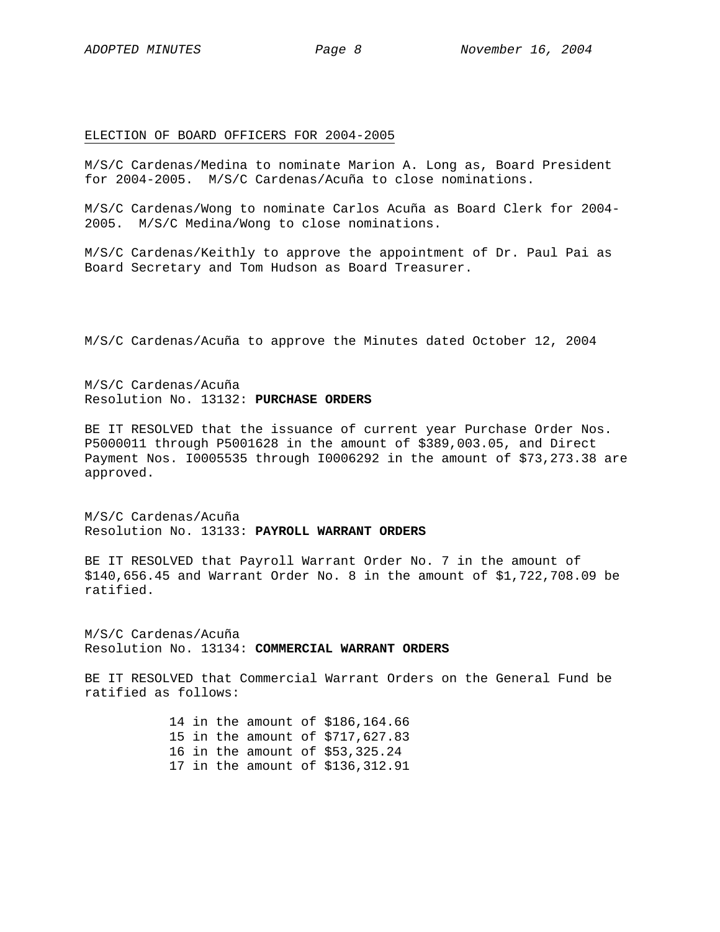#### ELECTION OF BOARD OFFICERS FOR 2004-2005

M/S/C Cardenas/Medina to nominate Marion A. Long as, Board President for 2004-2005. M/S/C Cardenas/Acuña to close nominations.

M/S/C Cardenas/Wong to nominate Carlos Acuña as Board Clerk for 2004- 2005. M/S/C Medina/Wong to close nominations.

M/S/C Cardenas/Keithly to approve the appointment of Dr. Paul Pai as Board Secretary and Tom Hudson as Board Treasurer.

M/S/C Cardenas/Acuña to approve the Minutes dated October 12, 2004

M/S/C Cardenas/Acuña Resolution No. 13132: **PURCHASE ORDERS**

BE IT RESOLVED that the issuance of current year Purchase Order Nos. P5000011 through P5001628 in the amount of \$389,003.05, and Direct Payment Nos. I0005535 through I0006292 in the amount of \$73,273.38 are approved.

M/S/C Cardenas/Acuña Resolution No. 13133: **PAYROLL WARRANT ORDERS**

BE IT RESOLVED that Payroll Warrant Order No. 7 in the amount of \$140,656.45 and Warrant Order No. 8 in the amount of \$1,722,708.09 be ratified.

M/S/C Cardenas/Acuña Resolution No. 13134: **COMMERCIAL WARRANT ORDERS**

BE IT RESOLVED that Commercial Warrant Orders on the General Fund be ratified as follows:

> 14 in the amount of \$186,164.66 15 in the amount of \$717,627.83 16 in the amount of \$53,325.24 17 in the amount of \$136,312.91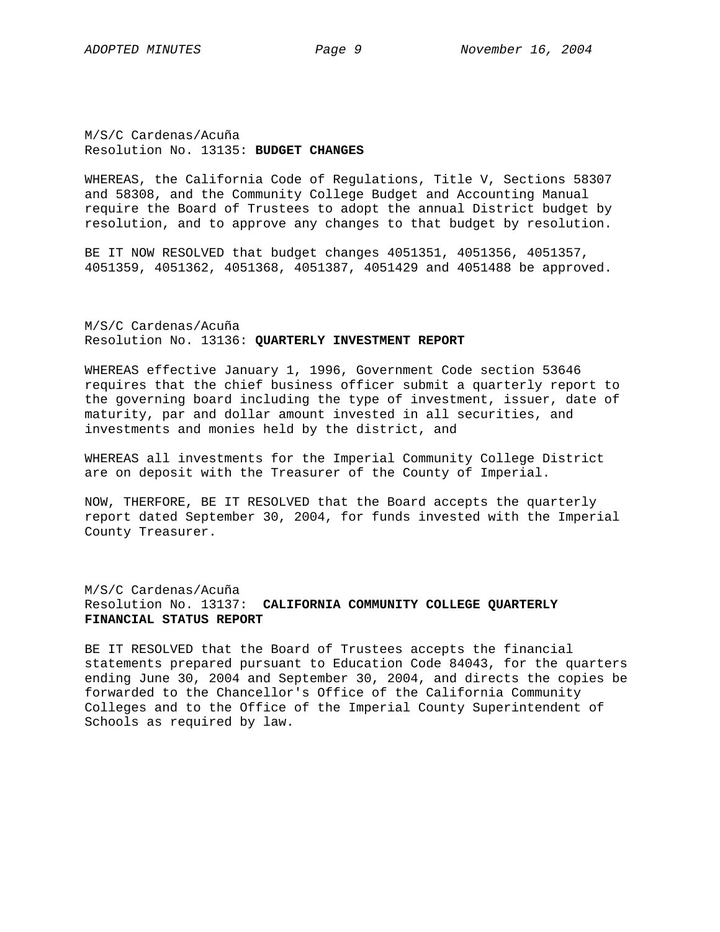M/S/C Cardenas/Acuña Resolution No. 13135: **BUDGET CHANGES** 

WHEREAS, the California Code of Regulations, Title V, Sections 58307 and 58308, and the Community College Budget and Accounting Manual require the Board of Trustees to adopt the annual District budget by resolution, and to approve any changes to that budget by resolution.

BE IT NOW RESOLVED that budget changes 4051351, 4051356, 4051357, 4051359, 4051362, 4051368, 4051387, 4051429 and 4051488 be approved.

M/S/C Cardenas/Acuña Resolution No. 13136: **QUARTERLY INVESTMENT REPORT** 

WHEREAS effective January 1, 1996, Government Code section 53646 requires that the chief business officer submit a quarterly report to the governing board including the type of investment, issuer, date of maturity, par and dollar amount invested in all securities, and investments and monies held by the district, and

WHEREAS all investments for the Imperial Community College District are on deposit with the Treasurer of the County of Imperial.

NOW, THERFORE, BE IT RESOLVED that the Board accepts the quarterly report dated September 30, 2004, for funds invested with the Imperial County Treasurer.

M/S/C Cardenas/Acuña Resolution No. 13137: **CALIFORNIA COMMUNITY COLLEGE QUARTERLY FINANCIAL STATUS REPORT**

BE IT RESOLVED that the Board of Trustees accepts the financial statements prepared pursuant to Education Code 84043, for the quarters ending June 30, 2004 and September 30, 2004, and directs the copies be forwarded to the Chancellor's Office of the California Community Colleges and to the Office of the Imperial County Superintendent of Schools as required by law.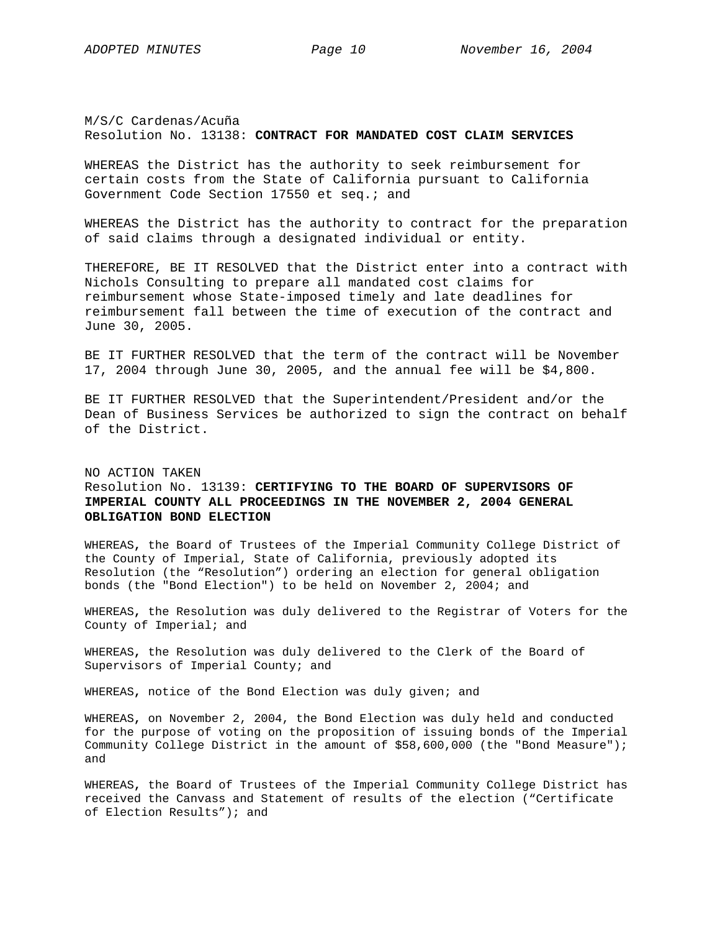M/S/C Cardenas/Acuña Resolution No. 13138: **CONTRACT FOR MANDATED COST CLAIM SERVICES** 

WHEREAS the District has the authority to seek reimbursement for certain costs from the State of California pursuant to California Government Code Section 17550 et seq.; and

WHEREAS the District has the authority to contract for the preparation of said claims through a designated individual or entity.

THEREFORE, BE IT RESOLVED that the District enter into a contract with Nichols Consulting to prepare all mandated cost claims for reimbursement whose State-imposed timely and late deadlines for reimbursement fall between the time of execution of the contract and June 30, 2005.

BE IT FURTHER RESOLVED that the term of the contract will be November 17, 2004 through June 30, 2005, and the annual fee will be \$4,800.

BE IT FURTHER RESOLVED that the Superintendent/President and/or the Dean of Business Services be authorized to sign the contract on behalf of the District.

# NO ACTION TAKEN Resolution No. 13139: **CERTIFYING TO THE BOARD OF SUPERVISORS OF IMPERIAL COUNTY ALL PROCEEDINGS IN THE NOVEMBER 2, 2004 GENERAL OBLIGATION BOND ELECTION**

WHEREAS**,** the Board of Trustees of the Imperial Community College District of the County of Imperial, State of California, previously adopted its Resolution (the "Resolution") ordering an election for general obligation bonds (the "Bond Election") to be held on November 2, 2004; and

WHEREAS**,** the Resolution was duly delivered to the Registrar of Voters for the County of Imperial; and

WHEREAS**,** the Resolution was duly delivered to the Clerk of the Board of Supervisors of Imperial County; and

WHEREAS**,** notice of the Bond Election was duly given; and

WHEREAS**,** on November 2, 2004, the Bond Election was duly held and conducted for the purpose of voting on the proposition of issuing bonds of the Imperial Community College District in the amount of \$58,600,000 (the "Bond Measure"); and

WHEREAS**,** the Board of Trustees of the Imperial Community College District has received the Canvass and Statement of results of the election ("Certificate of Election Results"); and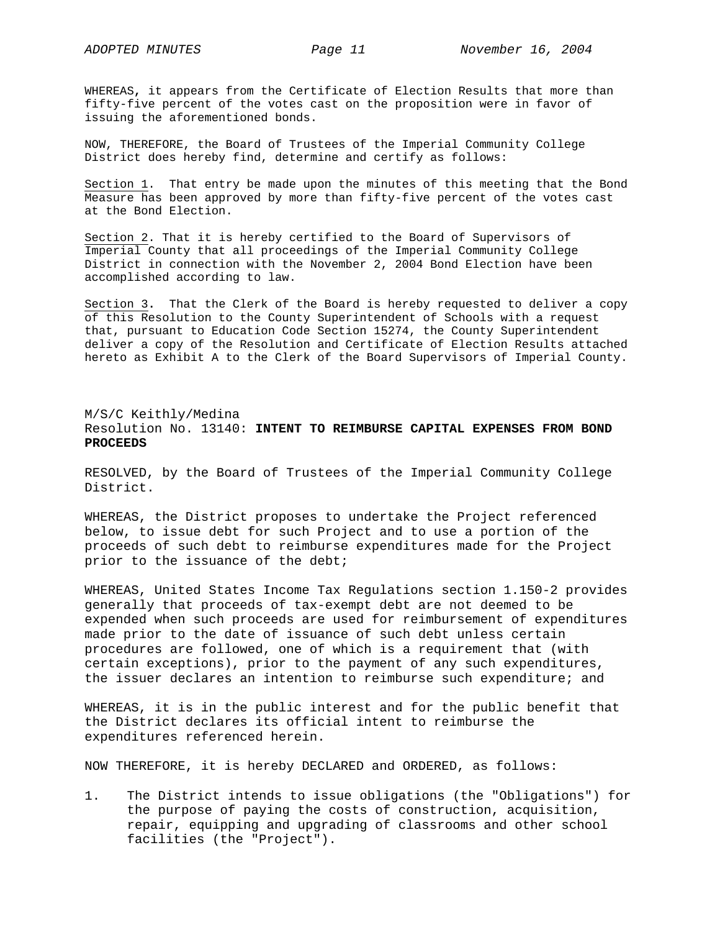WHEREAS**,** it appears from the Certificate of Election Results that more than fifty-five percent of the votes cast on the proposition were in favor of issuing the aforementioned bonds.

NOW, THEREFORE, the Board of Trustees of the Imperial Community College District does hereby find, determine and certify as follows:

Section 1. That entry be made upon the minutes of this meeting that the Bond Measure has been approved by more than fifty-five percent of the votes cast at the Bond Election.

Section 2. That it is hereby certified to the Board of Supervisors of Imperial County that all proceedings of the Imperial Community College District in connection with the November 2, 2004 Bond Election have been accomplished according to law.

Section 3**.** That the Clerk of the Board is hereby requested to deliver a copy of this Resolution to the County Superintendent of Schools with a request that, pursuant to Education Code Section 15274, the County Superintendent deliver a copy of the Resolution and Certificate of Election Results attached hereto as Exhibit A to the Clerk of the Board Supervisors of Imperial County.

# M/S/C Keithly/Medina Resolution No. 13140: **INTENT TO REIMBURSE CAPITAL EXPENSES FROM BOND PROCEEDS**

RESOLVED, by the Board of Trustees of the Imperial Community College District.

WHEREAS, the District proposes to undertake the Project referenced below, to issue debt for such Project and to use a portion of the proceeds of such debt to reimburse expenditures made for the Project prior to the issuance of the debt;

WHEREAS, United States Income Tax Regulations section 1.150-2 provides generally that proceeds of tax-exempt debt are not deemed to be expended when such proceeds are used for reimbursement of expenditures made prior to the date of issuance of such debt unless certain procedures are followed, one of which is a requirement that (with certain exceptions), prior to the payment of any such expenditures, the issuer declares an intention to reimburse such expenditure; and

WHEREAS, it is in the public interest and for the public benefit that the District declares its official intent to reimburse the expenditures referenced herein.

NOW THEREFORE, it is hereby DECLARED and ORDERED, as follows:

1. The District intends to issue obligations (the "Obligations") for the purpose of paying the costs of construction, acquisition, repair, equipping and upgrading of classrooms and other school facilities (the "Project").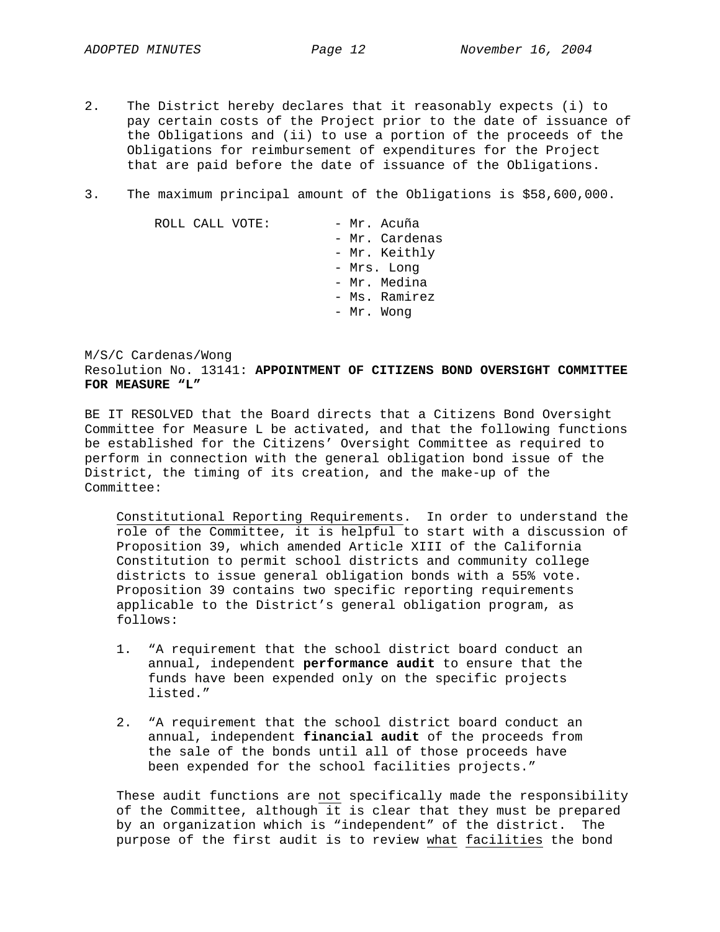- 2. The District hereby declares that it reasonably expects (i) to pay certain costs of the Project prior to the date of issuance of the Obligations and (ii) to use a portion of the proceeds of the Obligations for reimbursement of expenditures for the Project that are paid before the date of issuance of the Obligations.
- 3. The maximum principal amount of the Obligations is \$58,600,000.

| ROLL CALL VOTE: |             | - Mr. Acuña    |
|-----------------|-------------|----------------|
|                 |             | - Mr. Cardenas |
|                 |             | - Mr. Keithly  |
|                 | - Mrs. Long |                |
|                 |             | - Mr. Medina   |
|                 |             | - Ms. Ramirez  |
|                 |             | - Mr. Wong     |

M/S/C Cardenas/Wong Resolution No. 13141: **APPOINTMENT OF CITIZENS BOND OVERSIGHT COMMITTEE FOR MEASURE "L"** 

BE IT RESOLVED that the Board directs that a Citizens Bond Oversight Committee for Measure L be activated, and that the following functions be established for the Citizens' Oversight Committee as required to perform in connection with the general obligation bond issue of the District, the timing of its creation, and the make-up of the Committee:

Constitutional Reporting Requirements. In order to understand the role of the Committee, it is helpful to start with a discussion of Proposition 39, which amended Article XIII of the California Constitution to permit school districts and community college districts to issue general obligation bonds with a 55% vote. Proposition 39 contains two specific reporting requirements applicable to the District's general obligation program, as follows:

- 1. "A requirement that the school district board conduct an annual, independent **performance audit** to ensure that the funds have been expended only on the specific projects listed."
- 2. "A requirement that the school district board conduct an annual, independent **financial audit** of the proceeds from the sale of the bonds until all of those proceeds have been expended for the school facilities projects."

These audit functions are not specifically made the responsibility of the Committee, although it is clear that they must be prepared by an organization which is "independent" of the district. The purpose of the first audit is to review what facilities the bond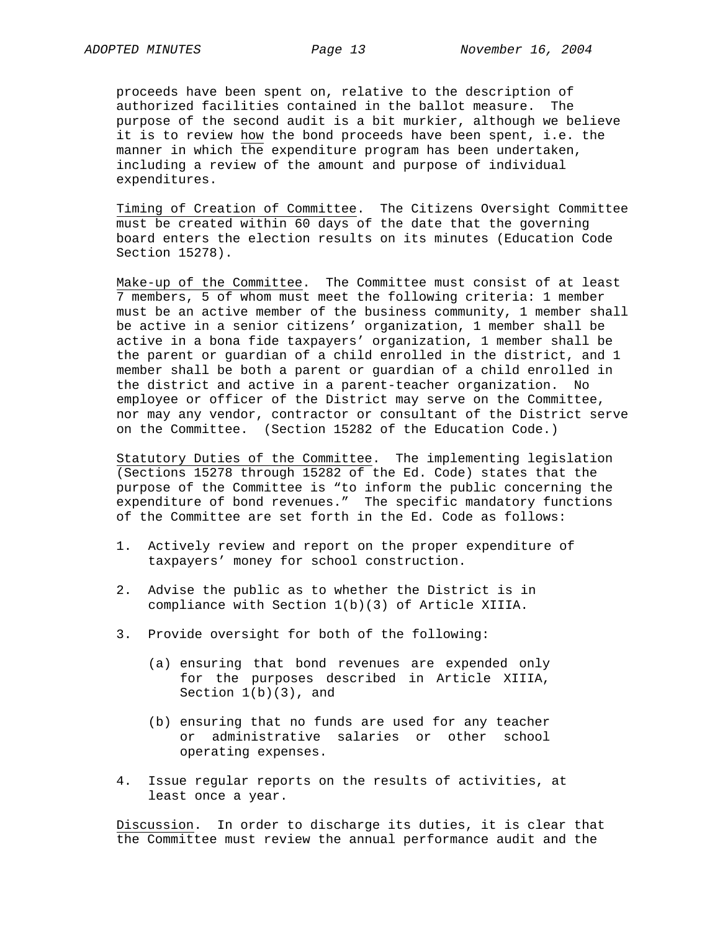proceeds have been spent on, relative to the description of authorized facilities contained in the ballot measure. The purpose of the second audit is a bit murkier, although we believe it is to review how the bond proceeds have been spent, i.e. the manner in which the expenditure program has been undertaken, including a review of the amount and purpose of individual expenditures.

Timing of Creation of Committee. The Citizens Oversight Committee must be created within 60 days of the date that the governing board enters the election results on its minutes (Education Code Section 15278).

Make-up of the Committee. The Committee must consist of at least 7 members, 5 of whom must meet the following criteria: 1 member must be an active member of the business community, 1 member shall be active in a senior citizens' organization, 1 member shall be active in a bona fide taxpayers' organization, 1 member shall be the parent or guardian of a child enrolled in the district, and 1 member shall be both a parent or guardian of a child enrolled in the district and active in a parent-teacher organization. No employee or officer of the District may serve on the Committee, nor may any vendor, contractor or consultant of the District serve on the Committee. (Section 15282 of the Education Code.)

Statutory Duties of the Committee. The implementing legislation (Sections 15278 through 15282 of the Ed. Code) states that the purpose of the Committee is "to inform the public concerning the expenditure of bond revenues." The specific mandatory functions of the Committee are set forth in the Ed. Code as follows:

- 1. Actively review and report on the proper expenditure of taxpayers' money for school construction.
- 2. Advise the public as to whether the District is in compliance with Section 1(b)(3) of Article XIIIA.
- 3. Provide oversight for both of the following:
	- (a) ensuring that bond revenues are expended only for the purposes described in Article XIIIA, Section 1(b)(3), and
	- (b) ensuring that no funds are used for any teacher or administrative salaries or other school operating expenses.
- 4. Issue regular reports on the results of activities, at least once a year.

Discussion. In order to discharge its duties, it is clear that the Committee must review the annual performance audit and the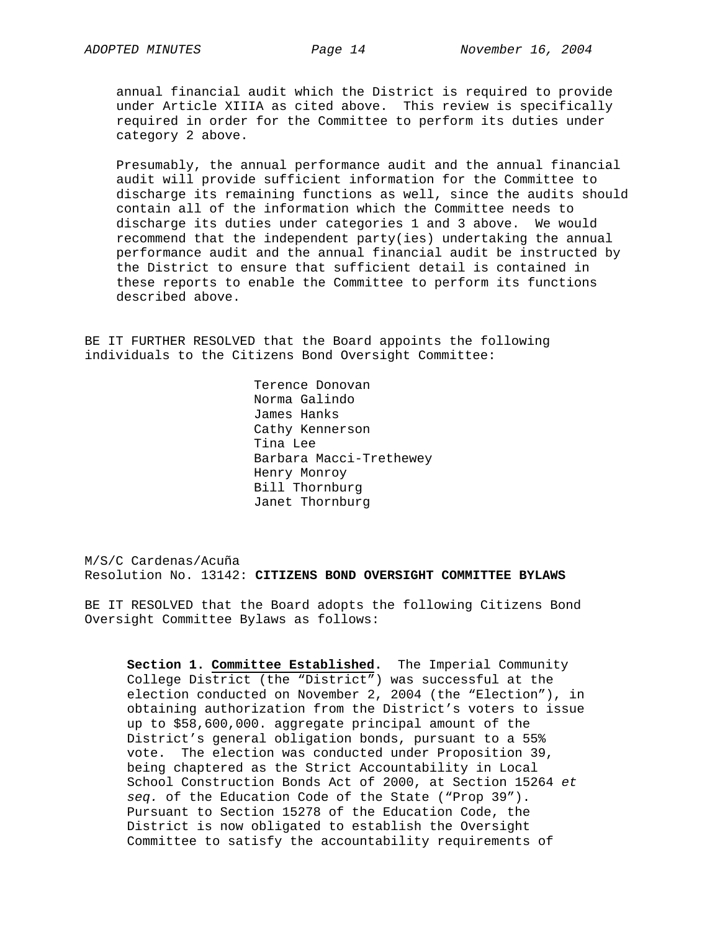annual financial audit which the District is required to provide under Article XIIIA as cited above. This review is specifically required in order for the Committee to perform its duties under category 2 above.

Presumably, the annual performance audit and the annual financial audit will provide sufficient information for the Committee to discharge its remaining functions as well, since the audits should contain all of the information which the Committee needs to discharge its duties under categories 1 and 3 above. We would recommend that the independent party(ies) undertaking the annual performance audit and the annual financial audit be instructed by the District to ensure that sufficient detail is contained in these reports to enable the Committee to perform its functions described above.

BE IT FURTHER RESOLVED that the Board appoints the following individuals to the Citizens Bond Oversight Committee:

> Terence Donovan Norma Galindo James Hanks Cathy Kennerson Tina Lee Barbara Macci-Trethewey Henry Monroy Bill Thornburg Janet Thornburg

M/S/C Cardenas/Acuña Resolution No. 13142: **CITIZENS BOND OVERSIGHT COMMITTEE BYLAWS** 

BE IT RESOLVED that the Board adopts the following Citizens Bond Oversight Committee Bylaws as follows:

**Section 1. Committee Established.** The Imperial Community College District (the "District") was successful at the election conducted on November 2, 2004 (the "Election"), in obtaining authorization from the District's voters to issue up to \$58,600,000. aggregate principal amount of the District's general obligation bonds, pursuant to a 55% vote. The election was conducted under Proposition 39, being chaptered as the Strict Accountability in Local School Construction Bonds Act of 2000, at Section 15264 *et seq.* of the Education Code of the State ("Prop 39"). Pursuant to Section 15278 of the Education Code, the District is now obligated to establish the Oversight Committee to satisfy the accountability requirements of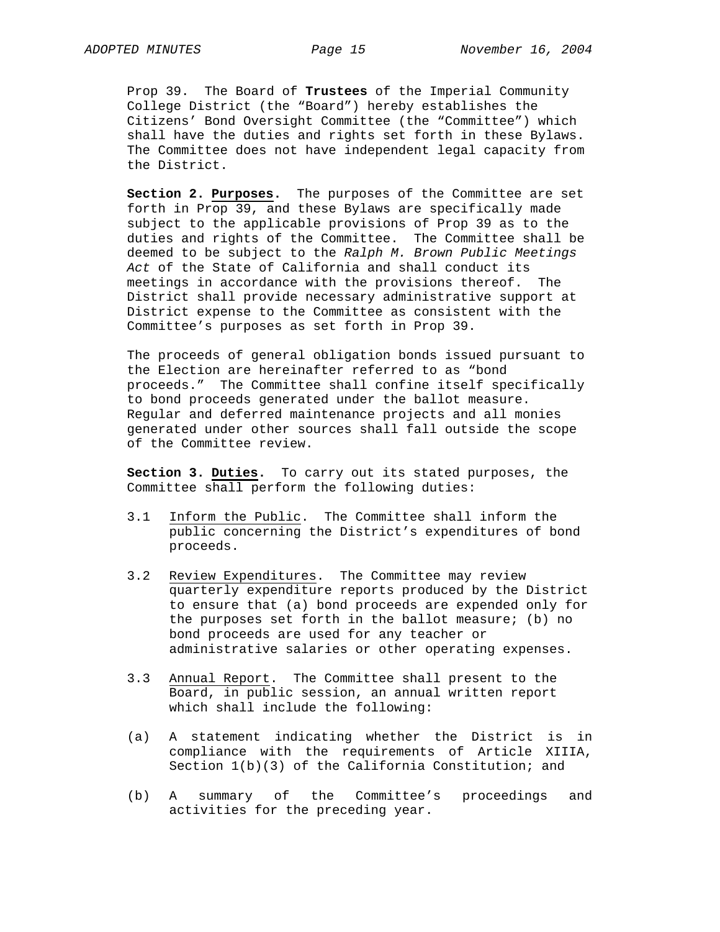Prop 39. The Board of **Trustees** of the Imperial Community College District (the "Board") hereby establishes the Citizens' Bond Oversight Committee (the "Committee") which shall have the duties and rights set forth in these Bylaws. The Committee does not have independent legal capacity from the District.

**Section 2. Purposes.** The purposes of the Committee are set forth in Prop 39, and these Bylaws are specifically made subject to the applicable provisions of Prop 39 as to the duties and rights of the Committee. The Committee shall be deemed to be subject to the *Ralph M. Brown Public Meetings Act* of the State of California and shall conduct its meetings in accordance with the provisions thereof. The District shall provide necessary administrative support at District expense to the Committee as consistent with the Committee's purposes as set forth in Prop 39.

The proceeds of general obligation bonds issued pursuant to the Election are hereinafter referred to as "bond proceeds." The Committee shall confine itself specifically to bond proceeds generated under the ballot measure. Regular and deferred maintenance projects and all monies generated under other sources shall fall outside the scope of the Committee review.

**Section 3. Duties.** To carry out its stated purposes, the Committee shall perform the following duties:

- 3.1 Inform the Public. The Committee shall inform the public concerning the District's expenditures of bond proceeds.
- 3.2 Review Expenditures. The Committee may review quarterly expenditure reports produced by the District to ensure that (a) bond proceeds are expended only for the purposes set forth in the ballot measure; (b) no bond proceeds are used for any teacher or administrative salaries or other operating expenses.
- 3.3 Annual Report. The Committee shall present to the Board, in public session, an annual written report which shall include the following:
- (a) A statement indicating whether the District is in compliance with the requirements of Article XIIIA, Section  $1(b)(3)$  of the California Constitution; and
- (b) A summary of the Committee's proceedings and activities for the preceding year.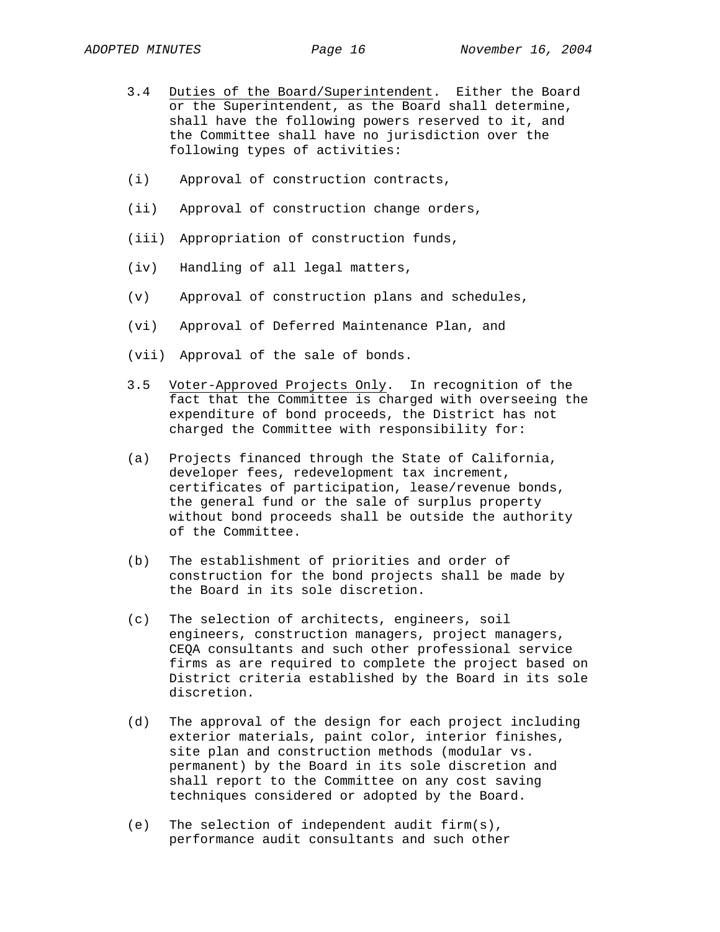- 3.4 Duties of the Board/Superintendent. Either the Board or the Superintendent, as the Board shall determine, shall have the following powers reserved to it, and the Committee shall have no jurisdiction over the following types of activities:
- (i) Approval of construction contracts,
- (ii) Approval of construction change orders,
- (iii) Appropriation of construction funds,
- (iv) Handling of all legal matters,
- (v) Approval of construction plans and schedules,
- (vi) Approval of Deferred Maintenance Plan, and
- (vii) Approval of the sale of bonds.
- 3.5 Voter-Approved Projects Only. In recognition of the fact that the Committee is charged with overseeing the expenditure of bond proceeds, the District has not charged the Committee with responsibility for:
- (a) Projects financed through the State of California, developer fees, redevelopment tax increment, certificates of participation, lease/revenue bonds, the general fund or the sale of surplus property without bond proceeds shall be outside the authority of the Committee.
- (b) The establishment of priorities and order of construction for the bond projects shall be made by the Board in its sole discretion.
- (c) The selection of architects, engineers, soil engineers, construction managers, project managers, CEQA consultants and such other professional service firms as are required to complete the project based on District criteria established by the Board in its sole discretion.
- (d) The approval of the design for each project including exterior materials, paint color, interior finishes, site plan and construction methods (modular vs. permanent) by the Board in its sole discretion and shall report to the Committee on any cost saving techniques considered or adopted by the Board.
- (e) The selection of independent audit firm(s), performance audit consultants and such other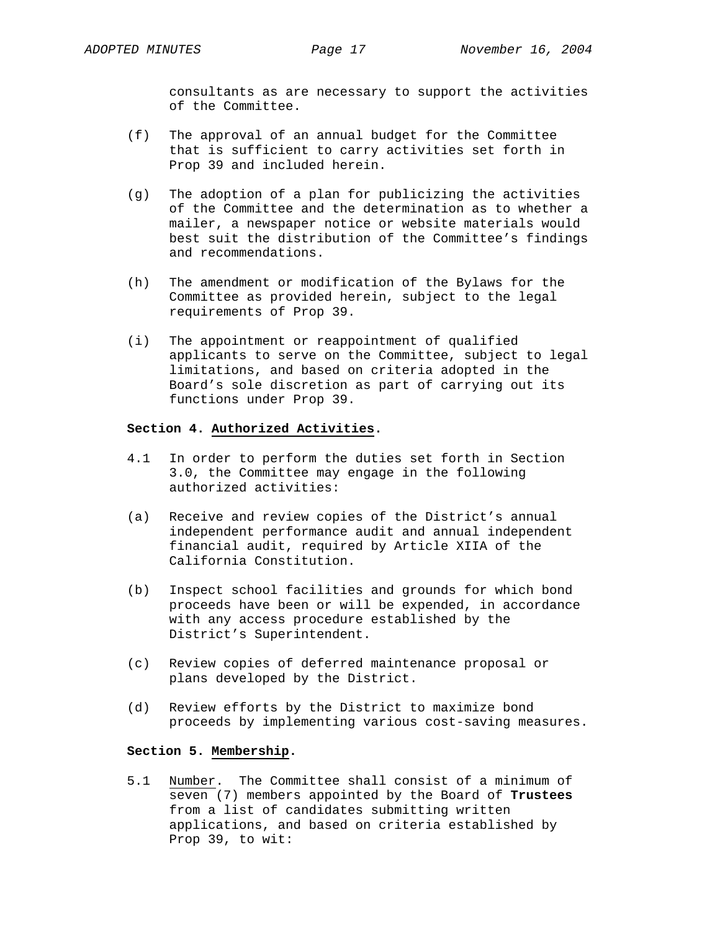consultants as are necessary to support the activities of the Committee.

- (f) The approval of an annual budget for the Committee that is sufficient to carry activities set forth in Prop 39 and included herein.
- (g) The adoption of a plan for publicizing the activities of the Committee and the determination as to whether a mailer, a newspaper notice or website materials would best suit the distribution of the Committee's findings and recommendations.
- (h) The amendment or modification of the Bylaws for the Committee as provided herein, subject to the legal requirements of Prop 39.
- (i) The appointment or reappointment of qualified applicants to serve on the Committee, subject to legal limitations, and based on criteria adopted in the Board's sole discretion as part of carrying out its functions under Prop 39.

## **Section 4. Authorized Activities.**

- 4.1 In order to perform the duties set forth in Section 3.0, the Committee may engage in the following authorized activities:
- (a) Receive and review copies of the District's annual independent performance audit and annual independent financial audit, required by Article XIIA of the California Constitution.
- (b) Inspect school facilities and grounds for which bond proceeds have been or will be expended, in accordance with any access procedure established by the District's Superintendent.
- (c) Review copies of deferred maintenance proposal or plans developed by the District.
- (d) Review efforts by the District to maximize bond proceeds by implementing various cost-saving measures.

# **Section 5. Membership.**

5.1 Number. The Committee shall consist of a minimum of seven (7) members appointed by the Board of **Trustees** from a list of candidates submitting written applications, and based on criteria established by Prop 39, to wit: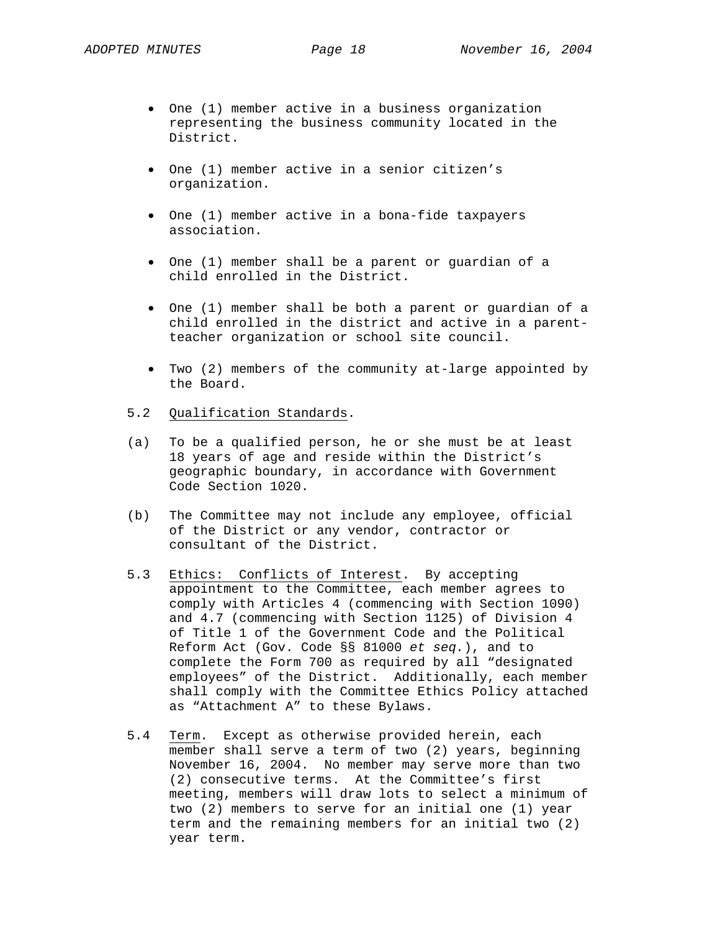- One (1) member active in a business organization representing the business community located in the District.
- One (1) member active in a senior citizen's organization.
- One (1) member active in a bona-fide taxpayers association.
- One (1) member shall be a parent or guardian of a child enrolled in the District.
- One (1) member shall be both a parent or guardian of a child enrolled in the district and active in a parentteacher organization or school site council.
- Two (2) members of the community at-large appointed by the Board.
- 5.2 Qualification Standards.
- (a) To be a qualified person, he or she must be at least 18 years of age and reside within the District's geographic boundary, in accordance with Government Code Section 1020.
- (b) The Committee may not include any employee, official of the District or any vendor, contractor or consultant of the District.
- 5.3 Ethics: Conflicts of Interest. By accepting appointment to the Committee, each member agrees to comply with Articles 4 (commencing with Section 1090) and 4.7 (commencing with Section 1125) of Division 4 of Title 1 of the Government Code and the Political Reform Act (Gov. Code §§ 81000 *et seq.*), and to complete the Form 700 as required by all "designated employees" of the District. Additionally, each member shall comply with the Committee Ethics Policy attached as "Attachment A" to these Bylaws.
- 5.4 Term. Except as otherwise provided herein, each member shall serve a term of two (2) years, beginning November 16, 2004. No member may serve more than two (2) consecutive terms. At the Committee's first meeting, members will draw lots to select a minimum of two (2) members to serve for an initial one (1) year term and the remaining members for an initial two (2) year term.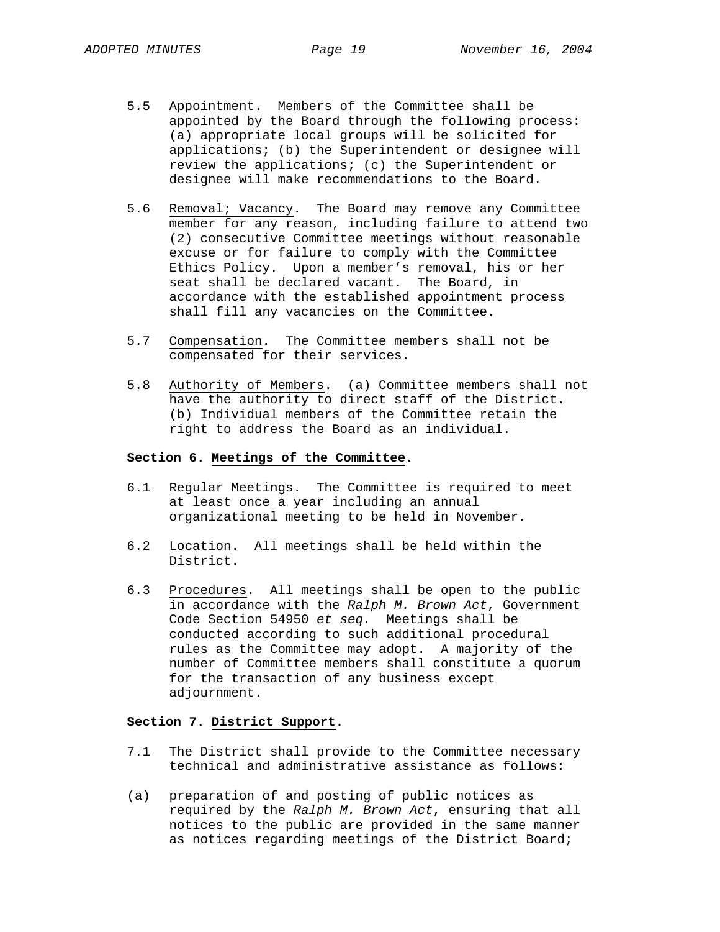- 5.5 Appointment. Members of the Committee shall be appointed by the Board through the following process: (a) appropriate local groups will be solicited for applications; (b) the Superintendent or designee will review the applications; (c) the Superintendent or designee will make recommendations to the Board.
- 5.6 Removal; Vacancy. The Board may remove any Committee member for any reason, including failure to attend two (2) consecutive Committee meetings without reasonable excuse or for failure to comply with the Committee Ethics Policy. Upon a member's removal, his or her seat shall be declared vacant. The Board, in accordance with the established appointment process shall fill any vacancies on the Committee.
- 5.7 Compensation. The Committee members shall not be compensated for their services.
- 5.8 Authority of Members. (a) Committee members shall not have the authority to direct staff of the District. (b) Individual members of the Committee retain the right to address the Board as an individual.

## **Section 6. Meetings of the Committee.**

- 6.1 Regular Meetings. The Committee is required to meet at least once a year including an annual organizational meeting to be held in November.
- 6.2 Location. All meetings shall be held within the District.
- 6.3 Procedures. All meetings shall be open to the public in accordance with the *Ralph M. Brown Act*, Government Code Section 54950 *et seq.* Meetings shall be conducted according to such additional procedural rules as the Committee may adopt. A majority of the number of Committee members shall constitute a quorum for the transaction of any business except adjournment.

## **Section 7. District Support.**

- 7.1 The District shall provide to the Committee necessary technical and administrative assistance as follows:
- (a) preparation of and posting of public notices as required by the *Ralph M. Brown Act*, ensuring that all notices to the public are provided in the same manner as notices regarding meetings of the District Board;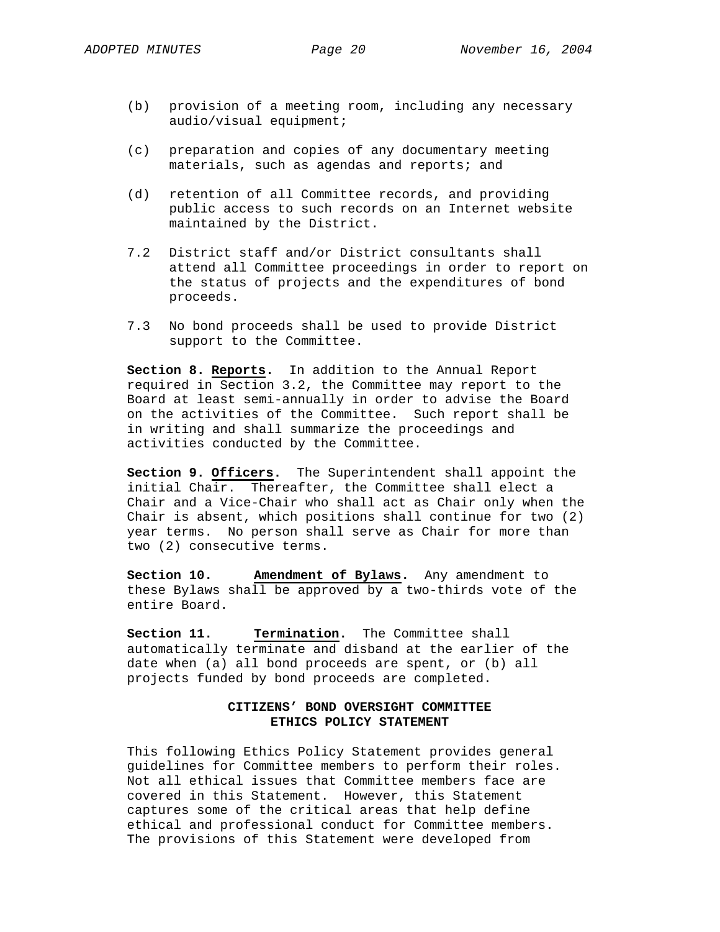- (b) provision of a meeting room, including any necessary audio/visual equipment;
- (c) preparation and copies of any documentary meeting materials, such as agendas and reports; and
- (d) retention of all Committee records, and providing public access to such records on an Internet website maintained by the District.
- 7.2 District staff and/or District consultants shall attend all Committee proceedings in order to report on the status of projects and the expenditures of bond proceeds.
- 7.3 No bond proceeds shall be used to provide District support to the Committee.

**Section 8. Reports.** In addition to the Annual Report required in Section 3.2, the Committee may report to the Board at least semi-annually in order to advise the Board on the activities of the Committee. Such report shall be in writing and shall summarize the proceedings and activities conducted by the Committee.

**Section 9. Officers.** The Superintendent shall appoint the initial Chair. Thereafter, the Committee shall elect a Chair and a Vice-Chair who shall act as Chair only when the Chair is absent, which positions shall continue for two (2) year terms. No person shall serve as Chair for more than two (2) consecutive terms.

**Section 10. Amendment of Bylaws.** Any amendment to these Bylaws shall be approved by a two-thirds vote of the entire Board.

**Section 11. Termination.** The Committee shall automatically terminate and disband at the earlier of the date when (a) all bond proceeds are spent, or (b) all projects funded by bond proceeds are completed.

# **CITIZENS' BOND OVERSIGHT COMMITTEE ETHICS POLICY STATEMENT**

This following Ethics Policy Statement provides general guidelines for Committee members to perform their roles. Not all ethical issues that Committee members face are covered in this Statement. However, this Statement captures some of the critical areas that help define ethical and professional conduct for Committee members. The provisions of this Statement were developed from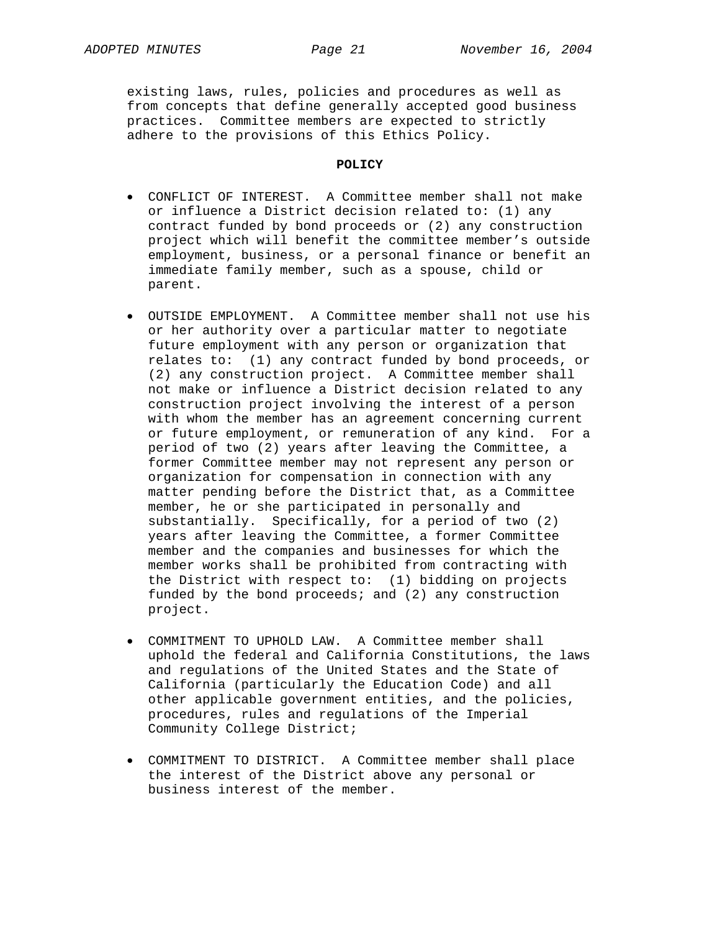existing laws, rules, policies and procedures as well as from concepts that define generally accepted good business practices. Committee members are expected to strictly adhere to the provisions of this Ethics Policy.

#### **POLICY**

- CONFLICT OF INTEREST. A Committee member shall not make or influence a District decision related to: (1) any contract funded by bond proceeds or (2) any construction project which will benefit the committee member's outside employment, business, or a personal finance or benefit an immediate family member, such as a spouse, child or parent.
- OUTSIDE EMPLOYMENT. A Committee member shall not use his or her authority over a particular matter to negotiate future employment with any person or organization that relates to: (1) any contract funded by bond proceeds, or (2) any construction project. A Committee member shall not make or influence a District decision related to any construction project involving the interest of a person with whom the member has an agreement concerning current or future employment, or remuneration of any kind. For a period of two (2) years after leaving the Committee, a former Committee member may not represent any person or organization for compensation in connection with any matter pending before the District that, as a Committee member, he or she participated in personally and substantially. Specifically, for a period of two (2) years after leaving the Committee, a former Committee member and the companies and businesses for which the member works shall be prohibited from contracting with the District with respect to: (1) bidding on projects funded by the bond proceeds; and (2) any construction project.
- COMMITMENT TO UPHOLD LAW. A Committee member shall uphold the federal and California Constitutions, the laws and regulations of the United States and the State of California (particularly the Education Code) and all other applicable government entities, and the policies, procedures, rules and regulations of the Imperial Community College District;
- COMMITMENT TO DISTRICT. A Committee member shall place the interest of the District above any personal or business interest of the member.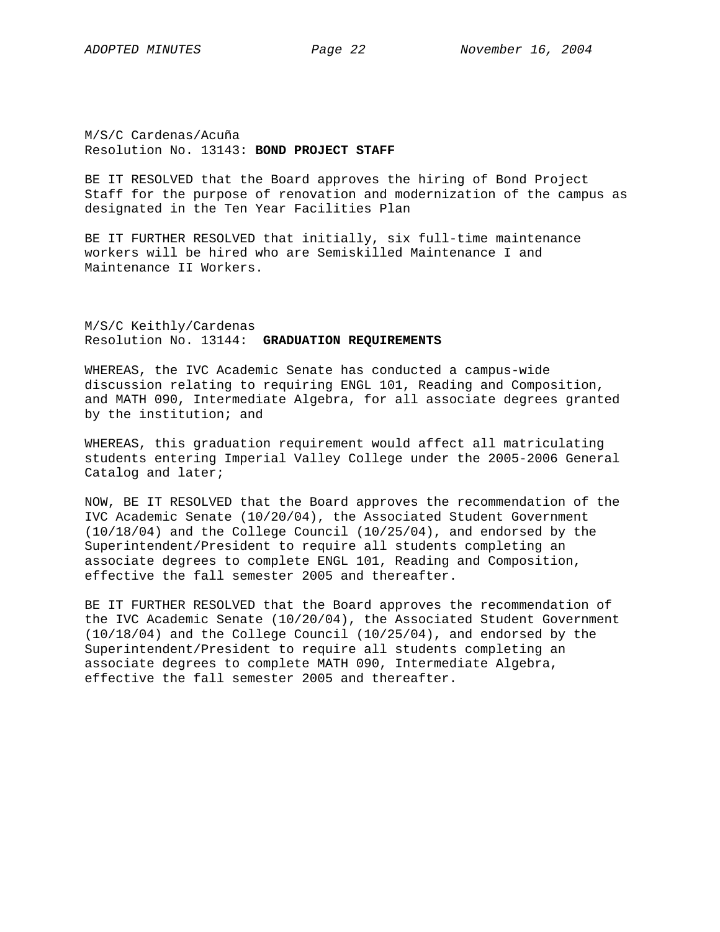M/S/C Cardenas/Acuña Resolution No. 13143: **BOND PROJECT STAFF** 

BE IT RESOLVED that the Board approves the hiring of Bond Project Staff for the purpose of renovation and modernization of the campus as designated in the Ten Year Facilities Plan

BE IT FURTHER RESOLVED that initially, six full-time maintenance workers will be hired who are Semiskilled Maintenance I and Maintenance II Workers.

M/S/C Keithly/Cardenas Resolution No. 13144: **GRADUATION REQUIREMENTS**

WHEREAS, the IVC Academic Senate has conducted a campus-wide discussion relating to requiring ENGL 101, Reading and Composition, and MATH 090, Intermediate Algebra, for all associate degrees granted by the institution; and

WHEREAS, this graduation requirement would affect all matriculating students entering Imperial Valley College under the 2005-2006 General Catalog and later;

NOW, BE IT RESOLVED that the Board approves the recommendation of the IVC Academic Senate (10/20/04), the Associated Student Government (10/18/04) and the College Council (10/25/04), and endorsed by the Superintendent/President to require all students completing an associate degrees to complete ENGL 101, Reading and Composition, effective the fall semester 2005 and thereafter.

BE IT FURTHER RESOLVED that the Board approves the recommendation of the IVC Academic Senate (10/20/04), the Associated Student Government (10/18/04) and the College Council (10/25/04), and endorsed by the Superintendent/President to require all students completing an associate degrees to complete MATH 090, Intermediate Algebra, effective the fall semester 2005 and thereafter.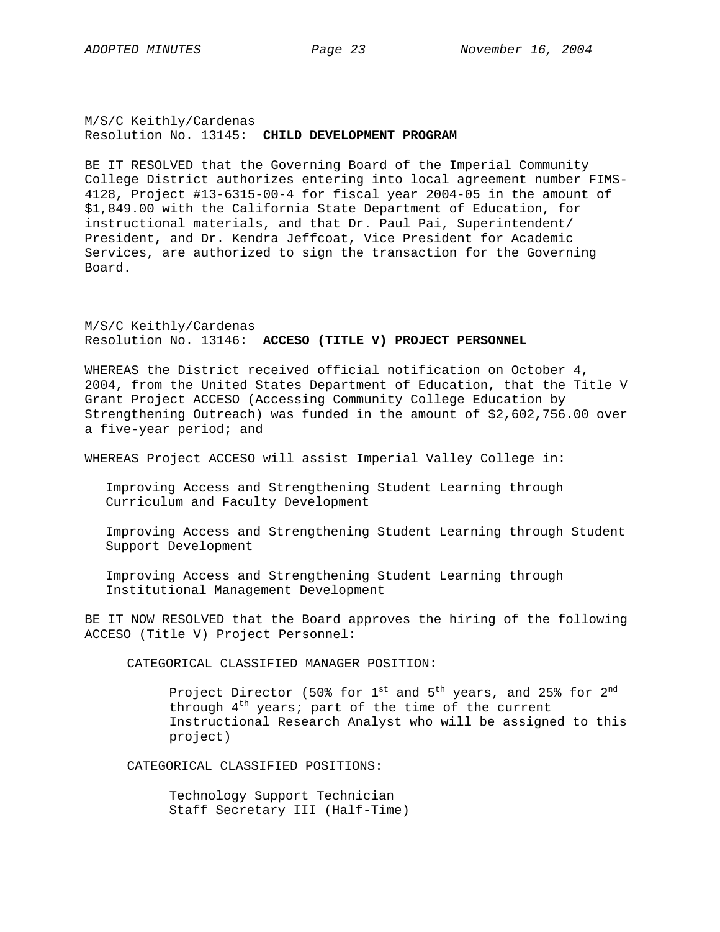# M/S/C Keithly/Cardenas Resolution No. 13145: **CHILD DEVELOPMENT PROGRAM**

BE IT RESOLVED that the Governing Board of the Imperial Community College District authorizes entering into local agreement number FIMS-4128, Project #13-6315-00-4 for fiscal year 2004-05 in the amount of \$1,849.00 with the California State Department of Education, for instructional materials, and that Dr. Paul Pai, Superintendent/ President, and Dr. Kendra Jeffcoat, Vice President for Academic Services, are authorized to sign the transaction for the Governing Board.

M/S/C Keithly/Cardenas Resolution No. 13146: **ACCESO (TITLE V) PROJECT PERSONNEL** 

WHEREAS the District received official notification on October 4, 2004, from the United States Department of Education, that the Title V Grant Project ACCESO (Accessing Community College Education by Strengthening Outreach) was funded in the amount of \$2,602,756.00 over a five-year period; and

WHEREAS Project ACCESO will assist Imperial Valley College in:

Improving Access and Strengthening Student Learning through Curriculum and Faculty Development

Improving Access and Strengthening Student Learning through Student Support Development

Improving Access and Strengthening Student Learning through Institutional Management Development

BE IT NOW RESOLVED that the Board approves the hiring of the following ACCESO (Title V) Project Personnel:

CATEGORICAL CLASSIFIED MANAGER POSITION:

Project Director (50% for  $1^{st}$  and  $5^{th}$  years, and 25% for  $2^{nd}$ through  $4<sup>th</sup>$  years; part of the time of the current Instructional Research Analyst who will be assigned to this project)

CATEGORICAL CLASSIFIED POSITIONS:

 Technology Support Technician Staff Secretary III (Half-Time)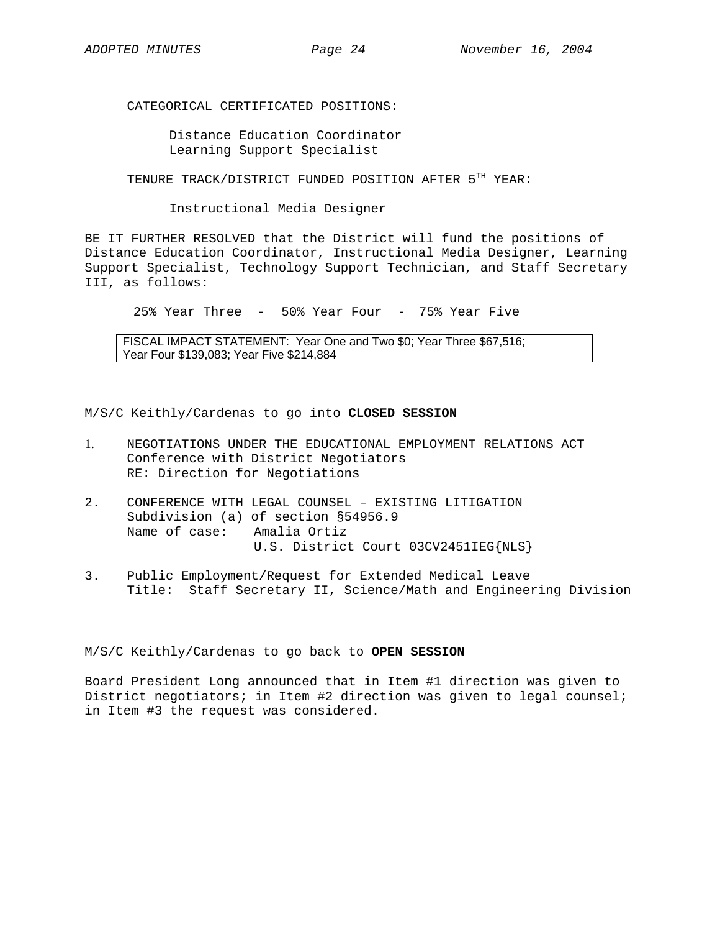CATEGORICAL CERTIFICATED POSITIONS:

 Distance Education Coordinator Learning Support Specialist

TENURE TRACK/DISTRICT FUNDED POSITION AFTER 5TH YEAR:

Instructional Media Designer

BE IT FURTHER RESOLVED that the District will fund the positions of Distance Education Coordinator, Instructional Media Designer, Learning Support Specialist, Technology Support Technician, and Staff Secretary III, as follows:

25% Year Three - 50% Year Four - 75% Year Five

FISCAL IMPACT STATEMENT: Year One and Two \$0; Year Three \$67,516; Year Four \$139,083; Year Five \$214,884

M/S/C Keithly/Cardenas to go into **CLOSED SESSION**

- 1. NEGOTIATIONS UNDER THE EDUCATIONAL EMPLOYMENT RELATIONS ACT Conference with District Negotiators RE: Direction for Negotiations
- 2. CONFERENCE WITH LEGAL COUNSEL EXISTING LITIGATION Subdivision (a) of section §54956.9 Name of case: Amalia Ortiz U.S. District Court 03CV2451IEG{NLS}
- 3. Public Employment/Request for Extended Medical Leave Title: Staff Secretary II, Science/Math and Engineering Division

M/S/C Keithly/Cardenas to go back to **OPEN SESSION**

Board President Long announced that in Item #1 direction was given to District negotiators; in Item #2 direction was given to legal counsel; in Item #3 the request was considered.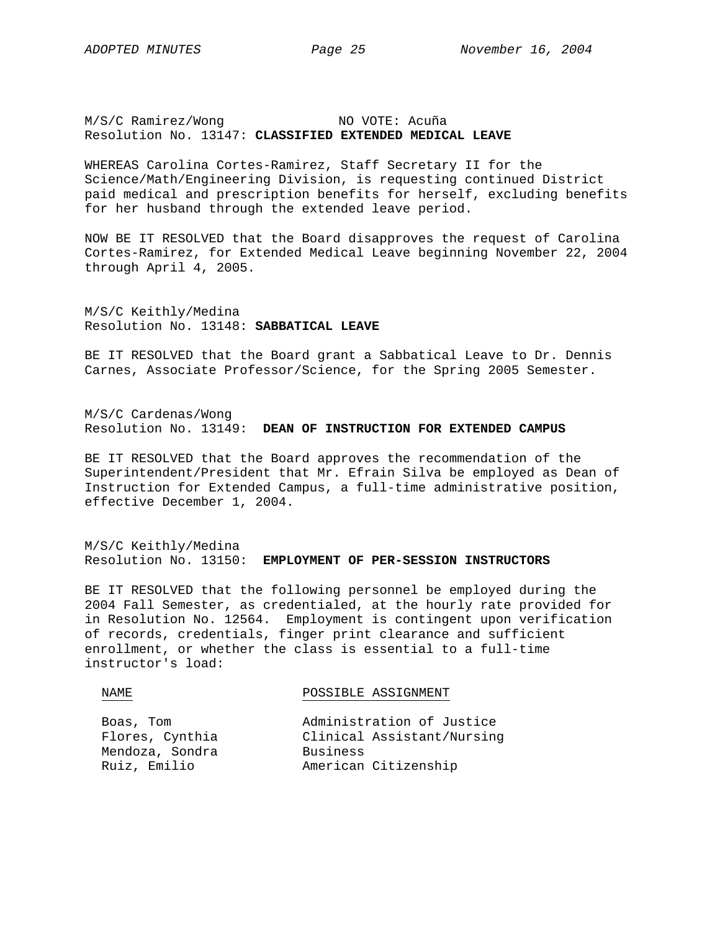M/S/C Ramirez/Wong NO VOTE: Acuña Resolution No. 13147: **CLASSIFIED EXTENDED MEDICAL LEAVE**

WHEREAS Carolina Cortes-Ramirez, Staff Secretary II for the Science/Math/Engineering Division, is requesting continued District paid medical and prescription benefits for herself, excluding benefits for her husband through the extended leave period.

NOW BE IT RESOLVED that the Board disapproves the request of Carolina Cortes-Ramirez, for Extended Medical Leave beginning November 22, 2004 through April 4, 2005.

M/S/C Keithly/Medina Resolution No. 13148: **SABBATICAL LEAVE**

BE IT RESOLVED that the Board grant a Sabbatical Leave to Dr. Dennis Carnes, Associate Professor/Science, for the Spring 2005 Semester.

M/S/C Cardenas/Wong Resolution No. 13149: **DEAN OF INSTRUCTION FOR EXTENDED CAMPUS**

BE IT RESOLVED that the Board approves the recommendation of the Superintendent/President that Mr. Efrain Silva be employed as Dean of Instruction for Extended Campus, a full-time administrative position, effective December 1, 2004.

M/S/C Keithly/Medina Resolution No. 13150: **EMPLOYMENT OF PER-SESSION INSTRUCTORS**

BE IT RESOLVED that the following personnel be employed during the 2004 Fall Semester, as credentialed, at the hourly rate provided for in Resolution No. 12564. Employment is contingent upon verification of records, credentials, finger print clearance and sufficient enrollment, or whether the class is essential to a full-time instructor's load:

| NAMF.           | POSSIBLE ASSIGNMENT        |
|-----------------|----------------------------|
|                 |                            |
| Boas, Tom       | Administration of Justice  |
| Flores, Cynthia | Clinical Assistant/Nursing |
| Mendoza, Sondra | Business                   |
| Ruiz, Emilio    | American Citizenship       |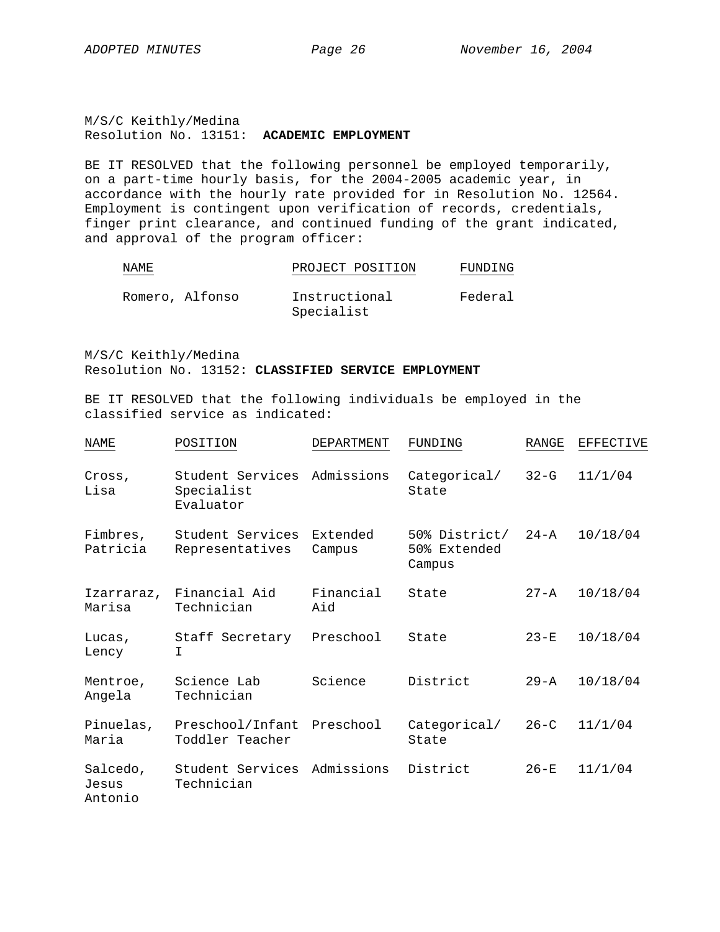M/S/C Keithly/Medina Resolution No. 13151: **ACADEMIC EMPLOYMENT**

BE IT RESOLVED that the following personnel be employed temporarily, on a part-time hourly basis, for the 2004-2005 academic year, in accordance with the hourly rate provided for in Resolution No. 12564. Employment is contingent upon verification of records, credentials, finger print clearance, and continued funding of the grant indicated, and approval of the program officer:

| NAMF | יחים הד<br>∂ ⊏ו<br><b>H.U</b><br>◡K<br>◡<br>---- | POSITION | :NG<br>'N |
|------|--------------------------------------------------|----------|-----------|
|      |                                                  |          |           |

| Romero, Alfonso | Instructional | Federal |
|-----------------|---------------|---------|
|                 | Specialist    |         |

M/S/C Keithly/Medina Resolution No. 13152: **CLASSIFIED SERVICE EMPLOYMENT** 

BE IT RESOLVED that the following individuals be employed in the classified service as indicated:

| NAME                         | POSITION                                    | DEPARTMENT         | FUNDING                                 | RANGE    | EFFECTIVE |
|------------------------------|---------------------------------------------|--------------------|-----------------------------------------|----------|-----------|
| Cross,<br>Lisa               | Student Services<br>Specialist<br>Evaluator | Admissions         | Categorical/<br>State                   | $32-G$   | 11/1/04   |
| Fimbres,<br>Patricia         | Student Services<br>Representatives         | Extended<br>Campus | 50% District/<br>50% Extended<br>Campus | $24 - A$ | 10/18/04  |
| Izarraraz,<br>Marisa         | Financial Aid<br>Technician                 | Financial<br>Aid   | State                                   | $27 - A$ | 10/18/04  |
| Lucas,<br>Lency              | Staff Secretary<br>I.                       | Preschool          | State                                   | $23-E$   | 10/18/04  |
| Mentroe,<br>Angela           | Science Lab<br>Technician                   | Science            | District                                | $29 - A$ | 10/18/04  |
| Pinuelas,<br>Maria           | Preschool/Infant<br>Toddler Teacher         | Preschool          | Categorical/<br>State                   | $26 - C$ | 11/1/04   |
| Salcedo,<br>Jesus<br>Antonio | Student Services<br>Technician              | Admissions         | District                                | $26-E$   | 11/1/04   |